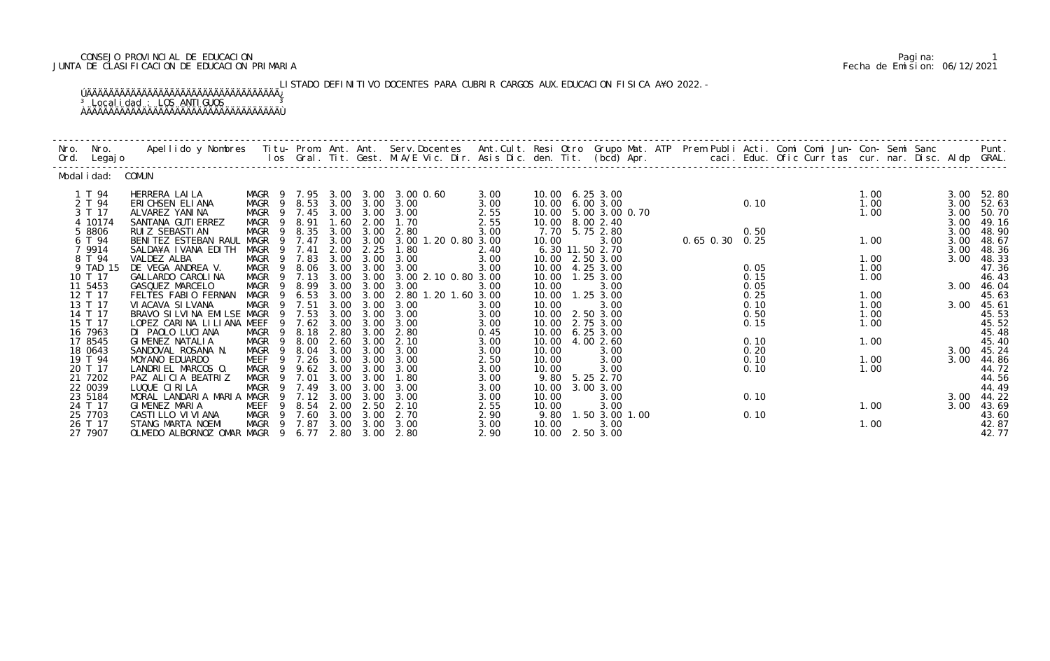# CONSEJO PROVINCIAL DE EDUCACION Pagina: 1 JUNTA DE CLASIFICACION DE EDUCACION PRIMARIA Fecha de Emision: 06/12/2021

LISTADO DEFINITIVO DOCENTES PARA CUBRIR CARGOS AUX. EDUCACION FISICA A¥O 2022. – ÚÄÄÄÄÄÄÄÄÄÄÄÄÄÄÄÄÄÄÄÄÄÄÄÄÄÄÄÄÄÄÄÄÄÄÄ¿ <sup>3</sup> Localidad : LOS ANTIGUOS <sup>3</sup> ÀÄÄÄÄÄÄÄÄÄÄÄÄÄÄÄÄÄÄÄÄÄÄÄÄÄÄÄÄÄÄÄÄÄÄÄÙ

| Nro. Nro.<br>Ord. Legajo                 |                    | Apellido y Nombres Titu- Prom. Ant. Ant. Serv.Docentes Ant.Cult. Resi Otro Grupo Mat. ATP Prem Publi Acti. Comi Comi Jun- Con- Semi Sanc Punt.<br>Ios Gral. Tit. Gest. M.A/E Vic. Dir. Asis Dic. den. Tit. (bcd) Apr. |                                                   |                  |                      |                              |                                                         |                      |                |                                                            |                |                      |  |                      |                      |                                  |
|------------------------------------------|--------------------|-----------------------------------------------------------------------------------------------------------------------------------------------------------------------------------------------------------------------|---------------------------------------------------|------------------|----------------------|------------------------------|---------------------------------------------------------|----------------------|----------------|------------------------------------------------------------|----------------|----------------------|--|----------------------|----------------------|----------------------------------|
|                                          | Modal i dad: COMUN |                                                                                                                                                                                                                       |                                                   |                  |                      |                              |                                                         |                      |                |                                                            |                |                      |  |                      |                      |                                  |
| 1 T 94<br>2 T 94<br>3 T 17               |                    | HERRERA LAILA<br>ERICHSEN ELIANA<br>ALVAREZ YANINA                                                                                                                                                                    | MAGR 9 8.53<br>MAGR 9 7.45 3.00 3.00 3.00         |                  |                      |                              | MAGR 9 7.95 3.00 3.00 3.00 0.60<br>3.00 3.00 3.00       | 3.00<br>3.00<br>2.55 |                | 10.00 6.25 3.00<br>10.00 6.00 3.00<br>10.00 5.00 3.00 0.70 |                | 0.10                 |  | 1.00<br>1.00<br>1.00 | 3.00<br>3.00         | 3.00 52.80<br>52.63<br>50.70     |
| 4 10174<br>5 8806<br>6 T 94              |                    | SANTANA GUTI ERREZ<br>RUI Z SEBASTI AN<br>BENITEZ ESTEBAN RAUL MAGR 9 7.47 3.00 3.00 3.00 1.20 0.80 3.00                                                                                                              | MAGR 9 8.91<br>MAGR 9 8.35                        |                  | 1.60<br>3.00         | 2.00<br>3.00                 | 1.70<br>2.80                                            | 2.55<br>3.00         | 10.00          | 10.00 8.00 2.40<br>7.70 5.75 2.80<br>3.00                  | 0.65 0.30 0.25 | 0.50                 |  | 1.00                 | 3.00<br>3.00<br>3.00 | 49.16<br>48.90<br>48.67          |
| 7 9914<br>8 T 94<br>9 TAD 15             |                    | SALDA¥A I VANA EDI TH<br>VALDEZ ALBA<br>DE VEGA ANDREA V.                                                                                                                                                             | MAGR<br>MAGR 9 7.83<br>MAGR 9 8.06 3.00 3.00 3.00 | 9 7.41           | 2.00<br>3.00         | 2.25<br>3.00                 | 1.80<br>3.00                                            | 2.40<br>3.00<br>3.00 |                | 6.30 11.50 2.70<br>10.00 2.50 3.00<br>10.00 4.25 3.00      |                | 0.05                 |  | 1.00<br>1.00         | 3.00<br>3.00         | 48.36<br>48.33<br>47.36          |
| 10 T 17<br>11 5453<br>12 T 17            |                    | GALLARDO CAROLINA<br>GASQUEZ MARCELO<br>FELTES FABIO FERNAN                                                                                                                                                           | MAGR 9 7.13<br>MAGR 9 8.99<br>MAGR 9 6.53         |                  | 3.00<br>3.00<br>3.00 | 3.00<br>3.00                 | 3.00 3.00 2.10 0.80 3.00<br>3.00<br>2.80 1.20 1.60 3.00 | 3.00                 | 10.00          | 10.00  1.25  3.00<br>3.00<br>10.00  1.25  3.00             |                | 0.15<br>0.05<br>0.25 |  | 1.00<br>1.00         |                      | 46.43<br>3.00 46.04<br>45.63     |
| 13 T 17<br>14 T 17<br>15 T 17            |                    | VI ACAVA SI LVANA<br>BRAVO SILVINA EMILSE MAGR 9 7.53<br>LOPEZ CARINA LILIANA MEEF                                                                                                                                    | MAGR 9 7.51                                       | 9 7.62 3.00      | 3.00<br>3.00         | 3.00<br>3.00<br>3.00         | 3.00<br>3.00<br>3.00                                    | 3.00<br>3.00<br>3.00 | 10.00<br>10.00 | 3.00<br>10.00 2.50 3.00<br>2.75 3.00                       |                | 0.10<br>0.50<br>0.15 |  | 1.00<br>1.00<br>1.00 | 3.00                 | 45.61<br>45.53<br>45.52          |
| 16 7963<br>17 8545<br>18 0643            |                    | DI PAOLO LUCIANA<br>GIMENEZ NATALIA<br>SANDOVAL ROSANA N.                                                                                                                                                             | MAGR 9 8.18<br>MAGR 9 8.00<br>MAGR 9 8.04 3.00    |                  | 2.80<br>2.60         | 3.00<br>3.00<br>3.00         | 2.80<br>2.10<br>3.00                                    | 0.45<br>3.00<br>3.00 | 10.00<br>10.00 | 6.253.00<br>10.00 4.00 2.60<br>3.00                        |                | 0.10<br>0.20         |  | 1.00                 | 3.00                 | 45.48<br>45.40<br>45.24          |
| 19 T 94<br>20 T 17<br>21 7202<br>22 0039 |                    | MOYANO EDUARDO<br>LANDRIEL MARCOS 0.<br>PAZ ALICIA BEATRIZ<br>LUQUE CIRILA                                                                                                                                            | MEEF<br>MAGR 9 9.62 3.00<br>MAGR 9 7.01           | 9 7.26<br>9 7.49 | 3.00<br>3.00         | 3.00<br>3.00<br>3.00<br>3.00 | 3.00<br>3.00<br>1.80<br>3.00                            | 2.50<br>3.00<br>3.00 | 10.00<br>10.00 | 3.00<br>3.00<br>9.80 5.25 2.70<br>10.00 3.00 3.00          |                | 0.10<br>0.10         |  | 1.00<br>1.00         | 3.00                 | 44.86<br>44.72<br>44.56<br>44.49 |
| 23 5184<br>24 T 17                       |                    | MORAL LANDARIA MARIA MAGR<br>GIMENEZ MARIA                                                                                                                                                                            | MAGR<br>MEEF 9 8.54 2.00                          | 9 7.12 3.00      | 3.00                 | 3.00<br>2.50                 | 3.00<br>2.10                                            | 3.00<br>3.00<br>2.55 | 10.00<br>10.00 | 3.00<br>3.00                                               |                | 0.10                 |  | 1.00                 | 3.00<br>3.00         | 44.22<br>43.69                   |
| 25 7703<br>26 T 17<br>27 7907            |                    | CASTI LLO VI VI ANA<br>STANG MARTA NOEMI<br>OLMEDO ALBORNOZ OMAR MAGR 9 6.77 2.80 3.00                                                                                                                                | MAGR 9 7.60 3.00 3.00<br>MAGR 9 7.87 3.00 3.00    |                  |                      |                              | 2.70<br>3.00<br>2.80                                    | 2.90<br>3.00<br>2.90 | 10.00          | 9.80 1.50 3.00 1.00<br>3.00<br>10.00 2.50 3.00             |                | 0.10                 |  | 1.00                 |                      | 43.60<br>42.87<br>42.77          |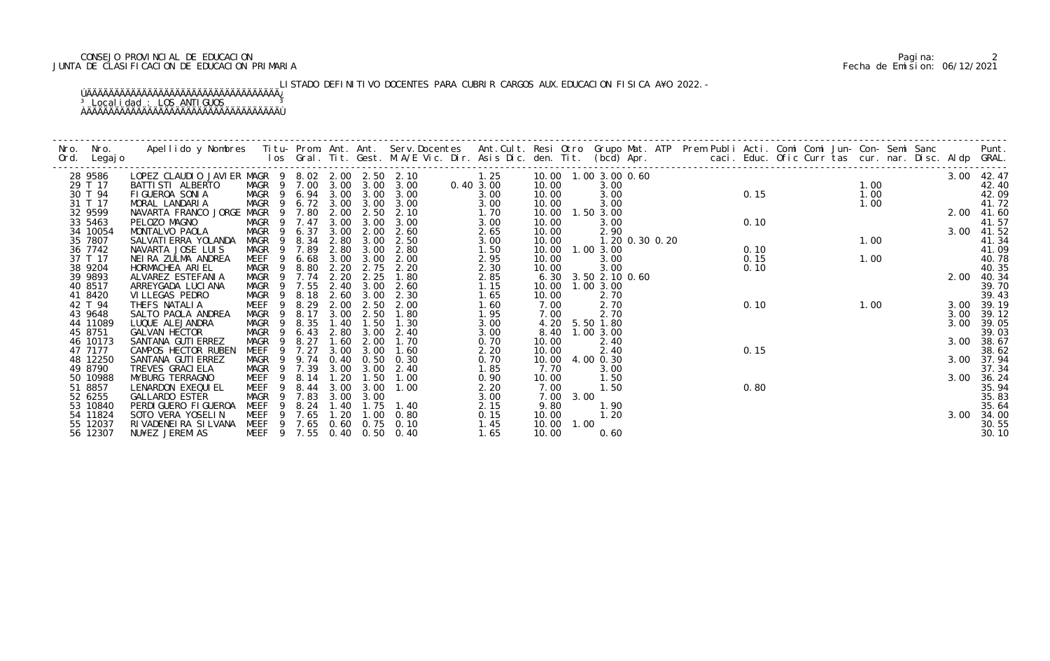# CONSEJO PROVINCIAL DE EDUCACION Pagina: 2 JUNTA DE CLASIFICACION DE EDUCACION PRIMARIA Fecha de Emision: 06/12/2021

# LISTADO DEFINITIVO DOCENTES PARA CUBRIR CARGOS AUX. EDUCACION FISICA A¥O 2022. –

## ÚÄÄÄÄÄÄÄÄÄÄÄÄÄÄÄÄÄÄÄÄÄÄÄÄÄÄÄÄÄÄÄÄÄÄÄ¿ <sup>3</sup> Localidad : LOS ANTIGUOS <sup>3</sup> ÀÄÄÄÄÄÄÄÄÄÄÄÄÄÄÄÄÄÄÄÄÄÄÄÄÄÄÄÄÄÄÄÄÄÄÄÙ

| Nro. | Nro. In the Nro.<br>Ord. Legajo | Apellido y Nombres Titu- Prom. Ant. Ant. Serv.Docentes Ant.Cult. Resi Otro Grupo Mat. ATP Prem Publi Acti. Comi Comi Jun- Con- Semi Sanc Punt.<br>Ios Gral. Tit. Gest. M.A/E Vic. Dir. Asis Dic. den. Tit. (bcd) Apr. |                                           |                        |             |                  |               |              |                         |           |                         |                   |      |      |                                                                                                           |      |  |            |                     |
|------|---------------------------------|-----------------------------------------------------------------------------------------------------------------------------------------------------------------------------------------------------------------------|-------------------------------------------|------------------------|-------------|------------------|---------------|--------------|-------------------------|-----------|-------------------------|-------------------|------|------|-----------------------------------------------------------------------------------------------------------|------|--|------------|---------------------|
|      | 28 9586                         | LOPEZ CLAUDIO JAVIER MAGR 9 8.02 2.00 2.50 2.10 1.25<br>BATTISTI ALBERTO MAGR 9 7.00 3.00 3.00 3.00 0.40 3.00                                                                                                         |                                           |                        |             |                  |               |              | 10.00  1.00  3.00  0.60 |           |                         |                   |      |      | $0.60$<br>$0.15$<br>$1.00$<br>$0$<br>0.15<br>$1.00$<br>1.00<br>1.00<br>0.10<br>90<br>0.10<br>1.00<br>1.00 |      |  |            | 3.00 42.47          |
|      | 29 T 17                         |                                                                                                                                                                                                                       |                                           |                        |             |                  |               |              | 10.00                   |           | 3.00                    |                   |      |      |                                                                                                           |      |  |            | 42.40               |
|      | 30 T 94                         | FIGUEROA SONIA                                                                                                                                                                                                        | MAGR 9 6.94 3.00 3.00 3.00                |                        |             |                  |               | 3.00         | 10.00                   |           | 3.00                    |                   |      |      |                                                                                                           |      |  |            | 42.09               |
|      | 31 T 17                         | MORAL LANDARIA                                                                                                                                                                                                        | MAGR 9 6.72 3.00 3.00 3.00                |                        |             |                  |               | 3.00         | 10.00                   |           | 3.00                    |                   |      |      |                                                                                                           |      |  |            | 41.72               |
|      | 32 9599                         | NAVARTA FRANCO JORGE MAGR 9 7.80 2.00                                                                                                                                                                                 |                                           |                        |             |                  | $2.50$ $2.10$ | 1.70         | 10.00  1.50  3.00       |           |                         |                   |      |      |                                                                                                           |      |  | 2.00 41.60 |                     |
|      | 33 5463                         | PELOZO MAGNO                                                                                                                                                                                                          | MAGR 9 7.47 3.00                          |                        |             | 3.00             | 3.00          | 3.00         | 10.00                   |           | 3.00                    |                   |      |      |                                                                                                           |      |  |            | 41.57               |
|      | 34 10054                        | MONTALVO PAOLA                                                                                                                                                                                                        | MAGR 9 6.37                               |                        | 3.00        | 2.00             | 2.60          | 2.65         | 10.00                   |           | 2.90                    |                   | 0.10 |      |                                                                                                           |      |  | 3.00 41.52 |                     |
|      | 35 7807                         | SALVATI ERRA YOLANDA                                                                                                                                                                                                  | MAGR 9 8.34 2.80                          |                        |             | 3.00             | 2.50          | 3.00         | 10.00                   |           |                         | 1. 20 0. 30 0. 20 |      |      |                                                                                                           |      |  |            | 41.34               |
|      | 36 7742                         | NAVARTA JOSE LUIS                                                                                                                                                                                                     | MAGR 9 7.89                               |                        | 2.80        | 3.00             | 2.80          | 1.50         | 10.00  1.00  3.00       |           |                         |                   |      |      |                                                                                                           |      |  |            | 41.09               |
|      | 37 T 17                         | NEIRA ZULMA ANDREA                                                                                                                                                                                                    | MEEF                                      | 6.68<br>- 9            | 3.00        | 3.00             | 2.00          | 2.95         | 10.00                   |           | 3.00                    |                   |      | 0.15 |                                                                                                           | 1.00 |  |            | 40.78               |
|      | 38 9204                         | HORMACHEA ARIEL                                                                                                                                                                                                       | MAGR 9 8.80 2.20                          |                        |             |                  | 2.75 2.20     | 2.30         | 10.00                   |           | 3.00                    |                   |      | 0.10 |                                                                                                           |      |  |            | 40.35               |
|      | 39 9893                         | ALVAREZ ESTEFANIA                                                                                                                                                                                                     | MAGR 9 7.74                               |                        | 2.20        | 2.25             | 1.80          | 2.85         |                         |           | 6. 30 3. 50 2. 10 0. 60 |                   |      |      |                                                                                                           |      |  | 2.00       | 40.34               |
|      | 40 8517                         | ARREYGADA LUCI ANA                                                                                                                                                                                                    | MAGR 9 7.55 2.40                          |                        |             | 3.00             | 2.60          | 1.15         | 10.00  1.00  3.00       |           |                         |                   |      |      |                                                                                                           |      |  |            | 39.70               |
|      | 41 8420                         | VI LLEGAS PEDRO                                                                                                                                                                                                       | MAGR                                      |                        | 9 8.18 2.60 | 3.00             | 2.30          | 1.65         | 10.00                   |           | 2.70                    |                   |      |      |                                                                                                           |      |  |            | 39.43               |
|      | 42 T 94                         | THEFS NATALIA                                                                                                                                                                                                         | MEEF                                      | 9 8.29                 | 2.00        | 2.50             | 2.00          | 1.60         | 7.00                    |           | 2.70                    |                   |      | 0.10 |                                                                                                           | 1.00 |  | 3.00 39.19 |                     |
|      | 43 9648                         | SALTO PAOLA ANDREA                                                                                                                                                                                                    | MAGR 9 8.17                               |                        | 3.00        | 2.50             | 1.80          | 1.95         | 7.00                    |           | 2.70                    |                   |      |      |                                                                                                           |      |  |            | 3.00 39.12          |
|      | 44 11089                        | LUQUE ALEJANDRA                                                                                                                                                                                                       | MAGR                                      | 9 8.35                 |             | 1.40 1.50        | 1.30          | 3.00         |                         |           | 4.20 5.50 1.80          |                   |      |      |                                                                                                           |      |  |            | 3.00 39.05          |
|      | 45 8751                         | GALVAN HECTOR                                                                                                                                                                                                         | MAGR                                      |                        | 9 6.43 2.80 | 3.00             | 2.40          | 3.00         |                         |           | 8.40 1.00 3.00          |                   |      |      |                                                                                                           |      |  |            | 39.03               |
|      | 46 10173<br>47 7177             | SANTANA GUTI ERREZ<br>CAMPOS HECTOR RUBEN                                                                                                                                                                             | MAGR                                      | 8.27<br>$\overline{9}$ | 1.60        | 2.00<br>3.00     | 1.70<br>1.60  | 0.70         | 10.00<br>10.00          |           | 2.40                    |                   |      | 0.15 |                                                                                                           |      |  | 3.00       | 38.67               |
|      | 48 12250                        | SANTANA GUTI ERREZ                                                                                                                                                                                                    | MEEF 9 7.27<br>MAGR 9 9.74 0.40 0.50 0.30 |                        | 3.00        |                  |               | 2.20<br>0.70 | 10.00 4.00 0.30         |           | 2.40                    |                   |      |      |                                                                                                           |      |  |            | 38.62<br>3.00 37.94 |
|      | 49 8790                         | TREVES GRACI ELA                                                                                                                                                                                                      | MAGR 9 7.39                               |                        | 3.00        | 3.00             | 2.40          | 1.85         | 7.70                    |           | 3.00                    |                   |      |      |                                                                                                           |      |  |            | 37.34               |
|      | 50 10988                        | MYBURG TERRAGNO                                                                                                                                                                                                       | MEEF 9 8.14                               |                        | 1.20        | 1.50             | 1.00          | 0.90         | 10.00                   |           | 1.50                    |                   |      |      |                                                                                                           |      |  |            | 3.00 36.24          |
|      | 51 8857                         | LENARDON EXEQUI EL                                                                                                                                                                                                    | MEEF 9 8.44 3.00                          |                        |             | 3.00             | 1.00          | 2.20         | 7.00                    |           | 1.50                    |                   |      | 0.80 |                                                                                                           |      |  |            | 35.94               |
|      | 52 6255                         | <b>GALLARDO ESTER</b>                                                                                                                                                                                                 | MAGR 9 7.83                               |                        |             | 3.00 3.00        |               | 3.00         |                         | 7.00 3.00 |                         |                   |      |      |                                                                                                           |      |  |            | 35.83               |
|      | 53 10840                        | PERDI GUERO FI GUEROA                                                                                                                                                                                                 | MEEF                                      |                        |             | 9 8.24 1.40 1.75 | 1.40          | 2.15         | 9.80                    |           | 1.90                    |                   |      |      |                                                                                                           |      |  |            | 35.64               |
|      | 54 11824                        | SOTO VERA YOSELIN                                                                                                                                                                                                     | MEEF                                      | 9 7.65                 | 1.20        | 1.00             | 0.80          | 0.15         | 10.00                   |           | 1.20                    |                   |      |      |                                                                                                           |      |  | 3.00       | 34.00               |
|      | 55 12037                        | RIVADENEIRA SILVANA MEEF 9 7.65 0.60 0.75 0.10                                                                                                                                                                        |                                           |                        |             |                  |               | 1.45         | 10.00 1.00              |           |                         |                   |      |      |                                                                                                           |      |  |            | 30.55               |
|      | 56 12307                        | NU¥EZ JEREMIAS                                                                                                                                                                                                        | MEEF 9 7.55 0.40 0.50 0.40                |                        |             |                  |               | 1.65         | 10.00                   |           | 0.60                    |                   |      |      |                                                                                                           |      |  |            | 30.10               |
|      |                                 |                                                                                                                                                                                                                       |                                           |                        |             |                  |               |              |                         |           |                         |                   |      |      |                                                                                                           |      |  |            |                     |